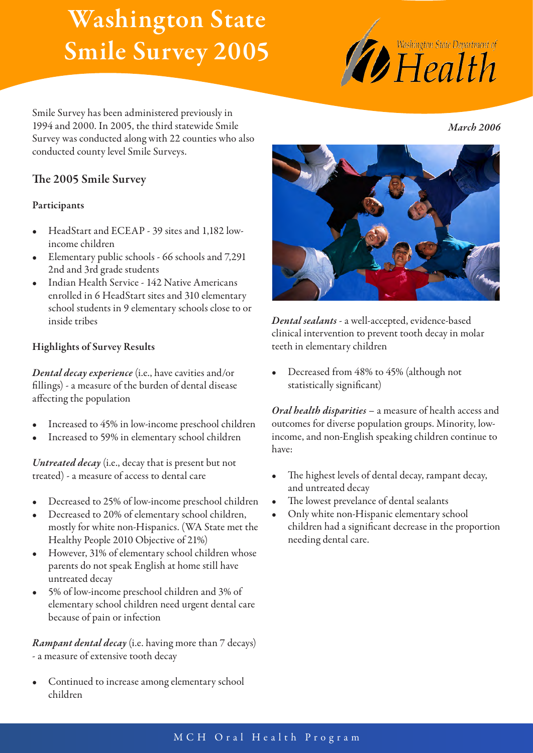# Washington State Smile Survey 2005



*March 2006*

Smile Survey has been administered previously in 1994 and 2000. In 2005, the third statewide Smile Survey was conducted along with 22 counties who also conducted county level Smile Surveys.

## The 2005 Smile Survey

#### Participants

- HeadStart and ECEAP 39 sites and 1,182 lowincome children
- Elementary public schools 66 schools and 7,291 2nd and 3rd grade students
- Indian Health Service 142 Native Americans enrolled in 6 HeadStart sites and 310 elementary school students in 9 elementary schools close to or inside tribes

#### Highlights of Survey Results

*Dental decay experience* (i.e., have cavities and/or fillings) - a measure of the burden of dental disease affecting the population

- Increased to 45% in low-income preschool children
- Increased to 59% in elementary school children

*Untreated decay* (i.e., decay that is present but not treated) - a measure of access to dental care

- Decreased to 25% of low-income preschool children
- Decreased to 20% of elementary school children, mostly for white non-Hispanics. (WA State met the Healthy People 2010 Objective of 21%)
- However, 31% of elementary school children whose parents do not speak English at home still have untreated decay
- 5% of low-income preschool children and 3% of elementary school children need urgent dental care because of pain or infection

*Rampant dental decay* (i.e. having more than 7 decays) - a measure of extensive tooth decay

Continued to increase among elementary school children



*Dental sealants* - a well-accepted, evidence-based clinical intervention to prevent tooth decay in molar teeth in elementary children

Decreased from 48% to 45% (although not statistically significant)

*Oral health disparities* – a measure of health access and outcomes for diverse population groups. Minority, lowincome, and non-English speaking children continue to have:

- The highest levels of dental decay, rampant decay, and untreated decay
- The lowest prevelance of dental sealants
- Only white non-Hispanic elementary school children had a significant decrease in the proportion needing dental care.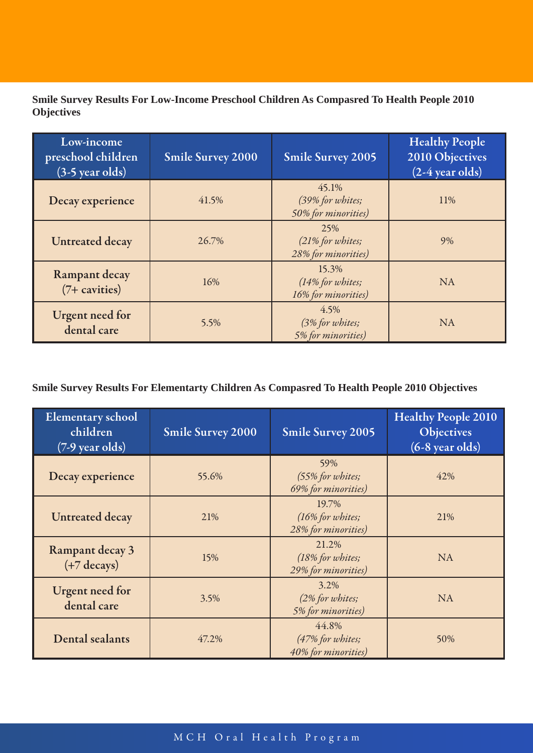**Smile Survey Results For Low-Income Preschool Children As Compasred To Health People 2010 Objectives**

| Low-income<br>preschool children<br>$(3-5$ year olds) | <b>Smile Survey 2000</b> | <b>Smile Survey 2005</b>                         | <b>Healthy People</b><br>2010 Objectives<br>$(2-4 \text{ year old})$ |
|-------------------------------------------------------|--------------------------|--------------------------------------------------|----------------------------------------------------------------------|
| Decay experience                                      | 41.5%                    | 45.1%<br>(39% for whites;<br>50% for minorities) | 11%                                                                  |
| <b>Untreated decay</b>                                | 26.7%                    | 25%<br>(21% for whites;<br>28% for minorities)   | 9%                                                                   |
| Rampant decay<br>$(7 + \text{cavities})$              | 16%                      | 15.3%<br>(14% for whites;<br>16% for minorities) | <b>NA</b>                                                            |
| <b>Urgent need for</b><br>dental care                 | 5.5%                     | 4.5%<br>(3% for whites;<br>5% for minorities)    | <b>NA</b>                                                            |

### **Smile Survey Results For Elementarty Children As Compasred To Health People 2010 Objectives**

| <b>Elementary school</b><br>children<br>$(7-9 \text{ year old})$ | <b>Smile Survey 2000</b> | <b>Smile Survey 2005</b>                         | <b>Healthy People 2010</b><br><b>Objectives</b><br>$(6-8 \text{ year old})$ |
|------------------------------------------------------------------|--------------------------|--------------------------------------------------|-----------------------------------------------------------------------------|
| Decay experience                                                 | 55.6%                    | 59%<br>(55% for whites;<br>69% for minorities)   | 42%                                                                         |
| <b>Untreated decay</b>                                           | 21%                      | 19.7%<br>(16% for whites;<br>28% for minorities) | 21%                                                                         |
| Rampant decay 3<br>$(+7$ decays)                                 | 15%                      | 21.2%<br>(18% for whites;<br>29% for minorities) | <b>NA</b>                                                                   |
| <b>Urgent need for</b><br>dental care                            | 3.5%                     | 3.2%<br>(2% for whites;<br>5% for minorities)    | <b>NA</b>                                                                   |
| Dental sealants                                                  | 47.2%                    | 44.8%<br>(47% for whites;<br>40% for minorities) | 50%                                                                         |